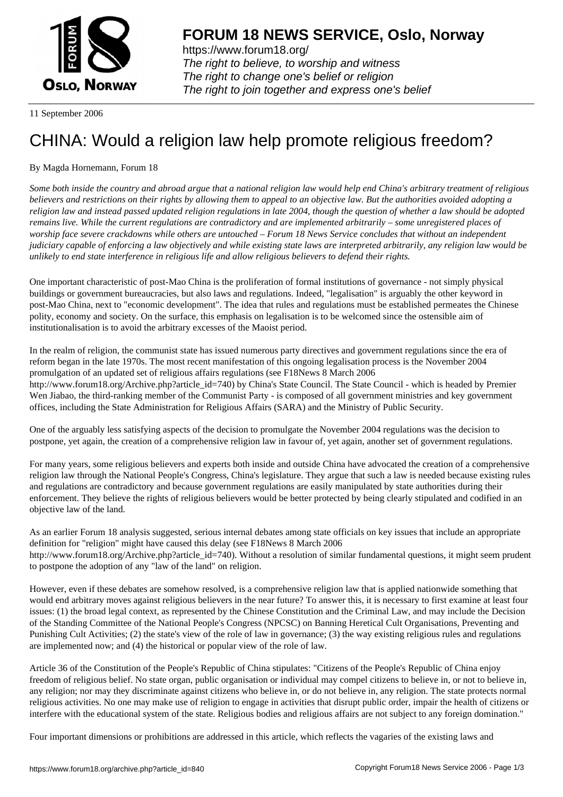

https://www.forum18.org/ The right to believe, to worship and witness The right to change one's belief or religion [The right to join together a](https://www.forum18.org/)nd express one's belief

11 September 2006

## [CHINA: Would](https://www.forum18.org) a religion law help promote religious freedom?

## By Magda Hornemann, Forum 18

*Some both inside the country and abroad argue that a national religion law would help end China's arbitrary treatment of religious believers and restrictions on their rights by allowing them to appeal to an objective law. But the authorities avoided adopting a religion law and instead passed updated religion regulations in late 2004, though the question of whether a law should be adopted remains live. While the current regulations are contradictory and are implemented arbitrarily – some unregistered places of worship face severe crackdowns while others are untouched – Forum 18 News Service concludes that without an independent judiciary capable of enforcing a law objectively and while existing state laws are interpreted arbitrarily, any religion law would be unlikely to end state interference in religious life and allow religious believers to defend their rights.*

One important characteristic of post-Mao China is the proliferation of formal institutions of governance - not simply physical buildings or government bureaucracies, but also laws and regulations. Indeed, "legalisation" is arguably the other keyword in post-Mao China, next to "economic development". The idea that rules and regulations must be established permeates the Chinese polity, economy and society. On the surface, this emphasis on legalisation is to be welcomed since the ostensible aim of institutionalisation is to avoid the arbitrary excesses of the Maoist period.

In the realm of religion, the communist state has issued numerous party directives and government regulations since the era of reform began in the late 1970s. The most recent manifestation of this ongoing legalisation process is the November 2004 promulgation of an updated set of religious affairs regulations (see F18News 8 March 2006 http://www.forum18.org/Archive.php?article\_id=740) by China's State Council. The State Council - which is headed by Premier Wen Jiabao, the third-ranking member of the Communist Party - is composed of all government ministries and key government offices, including the State Administration for Religious Affairs (SARA) and the Ministry of Public Security.

One of the arguably less satisfying aspects of the decision to promulgate the November 2004 regulations was the decision to postpone, yet again, the creation of a comprehensive religion law in favour of, yet again, another set of government regulations.

For many years, some religious believers and experts both inside and outside China have advocated the creation of a comprehensive religion law through the National People's Congress, China's legislature. They argue that such a law is needed because existing rules and regulations are contradictory and because government regulations are easily manipulated by state authorities during their enforcement. They believe the rights of religious believers would be better protected by being clearly stipulated and codified in an objective law of the land.

As an earlier Forum 18 analysis suggested, serious internal debates among state officials on key issues that include an appropriate definition for "religion" might have caused this delay (see F18News 8 March 2006 http://www.forum18.org/Archive.php?article\_id=740). Without a resolution of similar fundamental questions, it might seem prudent to postpone the adoption of any "law of the land" on religion.

However, even if these debates are somehow resolved, is a comprehensive religion law that is applied nationwide something that would end arbitrary moves against religious believers in the near future? To answer this, it is necessary to first examine at least four issues: (1) the broad legal context, as represented by the Chinese Constitution and the Criminal Law, and may include the Decision of the Standing Committee of the National People's Congress (NPCSC) on Banning Heretical Cult Organisations, Preventing and Punishing Cult Activities; (2) the state's view of the role of law in governance; (3) the way existing religious rules and regulations are implemented now; and (4) the historical or popular view of the role of law.

Article 36 of the Constitution of the People's Republic of China stipulates: "Citizens of the People's Republic of China enjoy freedom of religious belief. No state organ, public organisation or individual may compel citizens to believe in, or not to believe in, any religion; nor may they discriminate against citizens who believe in, or do not believe in, any religion. The state protects normal religious activities. No one may make use of religion to engage in activities that disrupt public order, impair the health of citizens or interfere with the educational system of the state. Religious bodies and religious affairs are not subject to any foreign domination."

Four important dimensions or prohibitions are addressed in this article, which reflects the vagaries of the existing laws and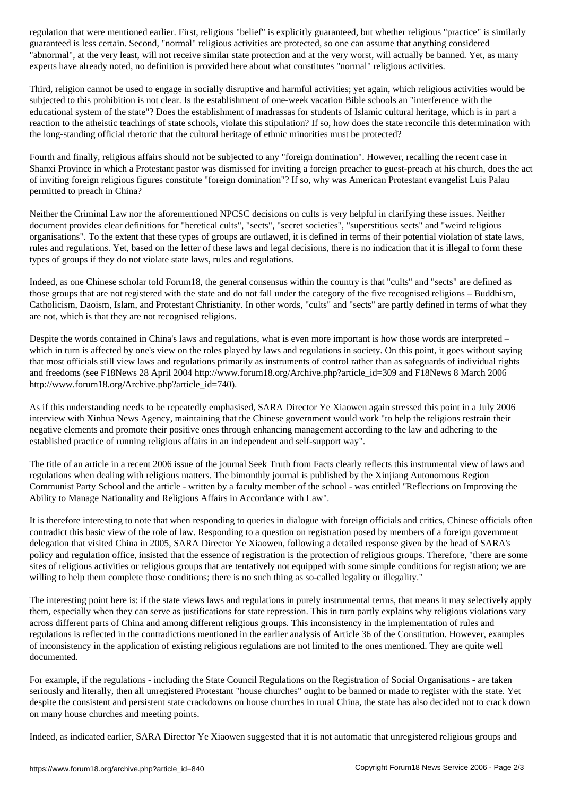guaranteed is less certain. Second, "normal" religious activities are protected, so one can assume that anything considered "abnormal", at the very least, will not receive similar state protection and at the very worst, will actually be banned. Yet, as many experts have already noted, no definition is provided here about what constitutes "normal" religious activities.

Third, religion cannot be used to engage in socially disruptive and harmful activities; yet again, which religious activities would be subjected to this prohibition is not clear. Is the establishment of one-week vacation Bible schools an "interference with the educational system of the state"? Does the establishment of madrassas for students of Islamic cultural heritage, which is in part a reaction to the atheistic teachings of state schools, violate this stipulation? If so, how does the state reconcile this determination with the long-standing official rhetoric that the cultural heritage of ethnic minorities must be protected?

Fourth and finally, religious affairs should not be subjected to any "foreign domination". However, recalling the recent case in Shanxi Province in which a Protestant pastor was dismissed for inviting a foreign preacher to guest-preach at his church, does the act of inviting foreign religious figures constitute "foreign domination"? If so, why was American Protestant evangelist Luis Palau permitted to preach in China?

Neither the Criminal Law nor the aforementioned NPCSC decisions on cults is very helpful in clarifying these issues. Neither document provides clear definitions for "heretical cults", "sects", "secret societies", "superstitious sects" and "weird religious organisations". To the extent that these types of groups are outlawed, it is defined in terms of their potential violation of state laws, rules and regulations. Yet, based on the letter of these laws and legal decisions, there is no indication that it is illegal to form these types of groups if they do not violate state laws, rules and regulations.

Indeed, as one Chinese scholar told Forum18, the general consensus within the country is that "cults" and "sects" are defined as those groups that are not registered with the state and do not fall under the category of the five recognised religions – Buddhism, Catholicism, Daoism, Islam, and Protestant Christianity. In other words, "cults" and "sects" are partly defined in terms of what they are not, which is that they are not recognised religions.

Despite the words contained in China's laws and regulations, what is even more important is how those words are interpreted – which in turn is affected by one's view on the roles played by laws and regulations in society. On this point, it goes without saying that most officials still view laws and regulations primarily as instruments of control rather than as safeguards of individual rights and freedoms (see F18News 28 April 2004 http://www.forum18.org/Archive.php?article\_id=309 and F18News 8 March 2006 http://www.forum18.org/Archive.php?article\_id=740).

As if this understanding needs to be repeatedly emphasised, SARA Director Ye Xiaowen again stressed this point in a July 2006 interview with Xinhua News Agency, maintaining that the Chinese government would work "to help the religions restrain their negative elements and promote their positive ones through enhancing management according to the law and adhering to the established practice of running religious affairs in an independent and self-support way".

The title of an article in a recent 2006 issue of the journal Seek Truth from Facts clearly reflects this instrumental view of laws and regulations when dealing with religious matters. The bimonthly journal is published by the Xinjiang Autonomous Region Communist Party School and the article - written by a faculty member of the school - was entitled "Reflections on Improving the Ability to Manage Nationality and Religious Affairs in Accordance with Law".

It is therefore interesting to note that when responding to queries in dialogue with foreign officials and critics, Chinese officials often contradict this basic view of the role of law. Responding to a question on registration posed by members of a foreign government delegation that visited China in 2005, SARA Director Ye Xiaowen, following a detailed response given by the head of SARA's policy and regulation office, insisted that the essence of registration is the protection of religious groups. Therefore, "there are some sites of religious activities or religious groups that are tentatively not equipped with some simple conditions for registration; we are willing to help them complete those conditions; there is no such thing as so-called legality or illegality."

The interesting point here is: if the state views laws and regulations in purely instrumental terms, that means it may selectively apply them, especially when they can serve as justifications for state repression. This in turn partly explains why religious violations vary across different parts of China and among different religious groups. This inconsistency in the implementation of rules and regulations is reflected in the contradictions mentioned in the earlier analysis of Article 36 of the Constitution. However, examples of inconsistency in the application of existing religious regulations are not limited to the ones mentioned. They are quite well documented.

For example, if the regulations - including the State Council Regulations on the Registration of Social Organisations - are taken seriously and literally, then all unregistered Protestant "house churches" ought to be banned or made to register with the state. Yet despite the consistent and persistent state crackdowns on house churches in rural China, the state has also decided not to crack down on many house churches and meeting points.

Indeed, as indicated earlier, SARA Director Ye Xiaowen suggested that it is not automatic that unregistered religious groups and